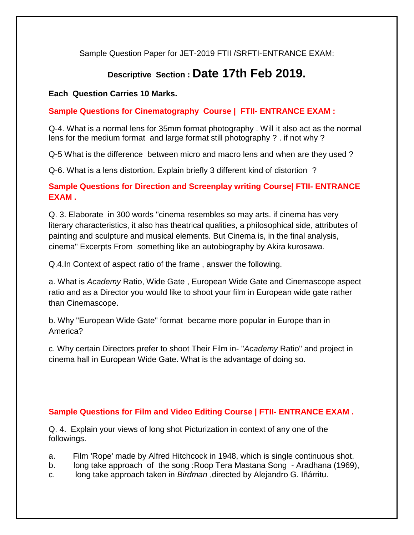Sample Question Paper for JET-2019 FTII /SRFTI-ENTRANCE EXAM:

# **Descriptive Section : Date 17th Feb 2019.**

## **Each Question Carries 10 Marks.**

# **Sample Questions for Cinematography Course | FTII- ENTRANCE EXAM :**

Q-4. What is a normal lens for 35mm format photography . Will it also act as the normal lens for the medium format and large format still photography ? . if not why ?

Q-5 What is the difference between micro and macro lens and when are they used ?

Q-6. What is a lens distortion. Explain briefly 3 different kind of distortion ?

# **Sample Questions for Direction and Screenplay writing Course| FTII- ENTRANCE EXAM .**

Q. 3. Elaborate in 300 words "cinema resembles so may arts. if cinema has very literary characteristics, it also has theatrical qualities, a philosophical side, attributes of painting and sculpture and musical elements. But Cinema is, in the final analysis, cinema" Excerpts From something like an autobiography by Akira kurosawa.

Q.4.In Context of aspect ratio of the frame , answer the following.

a. What is *Academy* Ratio, Wide Gate , European Wide Gate and Cinemascope aspect ratio and as a Director you would like to shoot your film in European wide gate rather than Cinemascope.

b. Why "European Wide Gate" format became more popular in Europe than in America?

c. Why certain Directors prefer to shoot Their Film in- "*Academy* Ratio" and project in cinema hall in European Wide Gate. What is the advantage of doing so.

## **Sample Questions for Film and Video Editing Course | FTII- ENTRANCE EXAM .**

Q. 4. Explain your views of long shot Picturization in context of any one of the followings.

- a. Film 'Rope' made by Alfred Hitchcock in 1948, which is single continuous shot.
- b. long take approach of the song :Roop Tera Mastana Song Aradhana (1969),
- c. long take approach taken in *Birdman* ,directed by Alejandro G. Iñárritu.